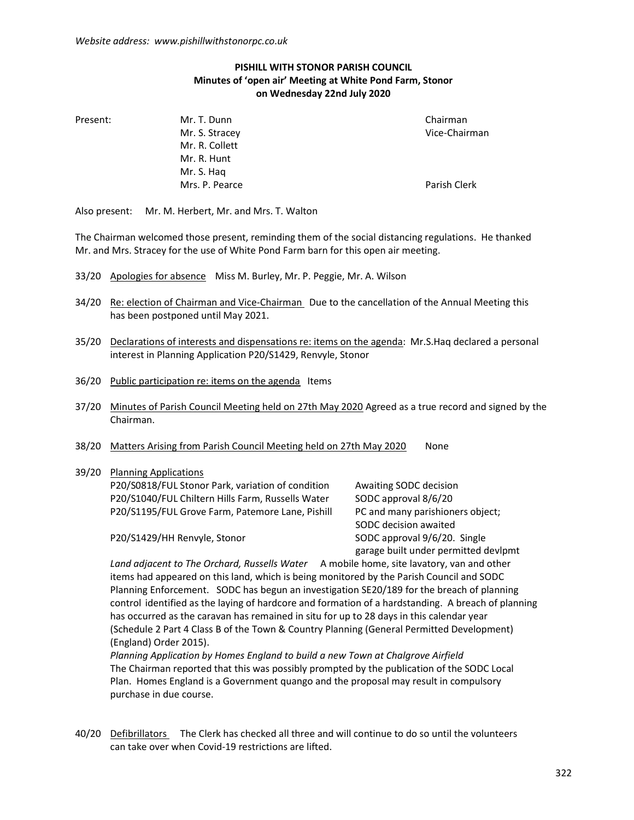## PISHILL WITH STONOR PARISH COUNCIL Minutes of 'open air' Meeting at White Pond Farm, Stonor on Wednesday 22nd July 2020

Present: Mr. T. Dunn Chairman Chairman

Mr. S. Stracey and the control of the Vice-Chairman Mr. R. Collett Mr. R. Hunt Mr. S. Haq Mrs. P. Pearce Parish Clerk

Also present: Mr. M. Herbert, Mr. and Mrs. T. Walton

The Chairman welcomed those present, reminding them of the social distancing regulations. He thanked Mr. and Mrs. Stracey for the use of White Pond Farm barn for this open air meeting.

- 33/20 Apologies for absence Miss M. Burley, Mr. P. Peggie, Mr. A. Wilson
- 34/20 Re: election of Chairman and Vice-Chairman Due to the cancellation of the Annual Meeting this has been postponed until May 2021.
- 35/20 Declarations of interests and dispensations re: items on the agenda: Mr.S.Haq declared a personal interest in Planning Application P20/S1429, Renvyle, Stonor
- 36/20 Public participation re: items on the agenda Items
- 37/20 Minutes of Parish Council Meeting held on 27th May 2020 Agreed as a true record and signed by the Chairman.
- 38/20 Matters Arising from Parish Council Meeting held on 27th May 2020 None

## 39/20 Planning Applications P20/S0818/FUL Stonor Park, variation of condition Awaiting SODC decision P20/S1040/FUL Chiltern Hills Farm, Russells Water SODC approval 8/6/20 P20/S1195/FUL Grove Farm, Patemore Lane, Pishill PC and many parishioners object;

P20/S1429/HH Renvyle, Stonor SODC approval 9/6/20. Single

 SODC decision awaited garage built under permitted devlpmt

Land adjacent to The Orchard, Russells Water A mobile home, site lavatory, van and other items had appeared on this land, which is being monitored by the Parish Council and SODC Planning Enforcement. SODC has begun an investigation SE20/189 for the breach of planning control identified as the laying of hardcore and formation of a hardstanding. A breach of planning has occurred as the caravan has remained in situ for up to 28 days in this calendar year (Schedule 2 Part 4 Class B of the Town & Country Planning (General Permitted Development) (England) Order 2015).

 Planning Application by Homes England to build a new Town at Chalgrove Airfield The Chairman reported that this was possibly prompted by the publication of the SODC Local Plan. Homes England is a Government quango and the proposal may result in compulsory purchase in due course.

40/20 Defibrillators The Clerk has checked all three and will continue to do so until the volunteers can take over when Covid-19 restrictions are lifted.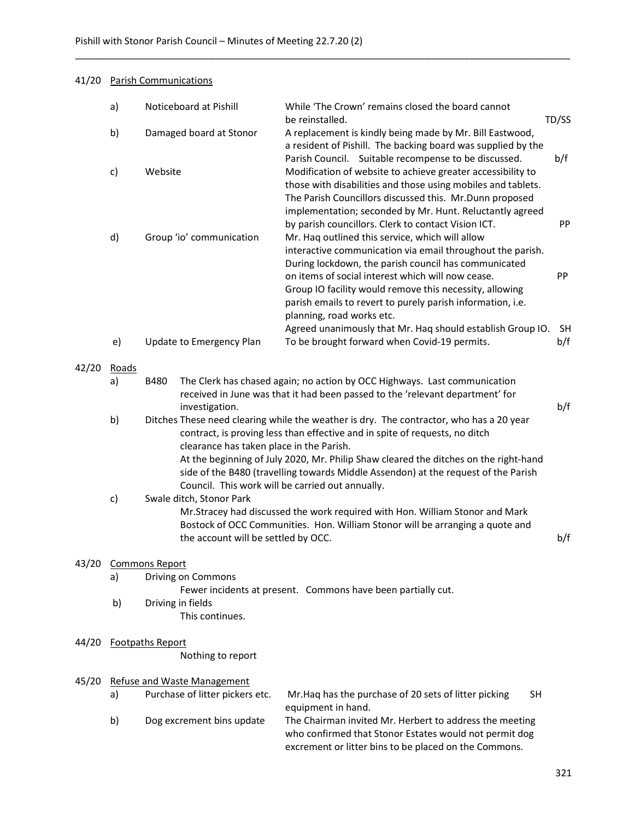## 41/20 Parish Communications

|       | a)                    |                                                                                                                                                                                                                                | Noticeboard at Pishill                                                                                                                                                                                                                  | While 'The Crown' remains closed the board cannot<br>TD/SS<br>be reinstalled.                                                                                                                                                                                                                                                                                              |           |  |  |  |  |
|-------|-----------------------|--------------------------------------------------------------------------------------------------------------------------------------------------------------------------------------------------------------------------------|-----------------------------------------------------------------------------------------------------------------------------------------------------------------------------------------------------------------------------------------|----------------------------------------------------------------------------------------------------------------------------------------------------------------------------------------------------------------------------------------------------------------------------------------------------------------------------------------------------------------------------|-----------|--|--|--|--|
|       | b)                    | Damaged board at Stonor                                                                                                                                                                                                        |                                                                                                                                                                                                                                         | A replacement is kindly being made by Mr. Bill Eastwood,<br>a resident of Pishill. The backing board was supplied by the<br>Parish Council. Suitable recompense to be discussed.<br>Modification of website to achieve greater accessibility to<br>those with disabilities and those using mobiles and tablets.<br>The Parish Councillors discussed this. Mr.Dunn proposed |           |  |  |  |  |
|       | c)                    | Website<br>Group 'io' communication                                                                                                                                                                                            |                                                                                                                                                                                                                                         |                                                                                                                                                                                                                                                                                                                                                                            |           |  |  |  |  |
|       | d)                    |                                                                                                                                                                                                                                |                                                                                                                                                                                                                                         | implementation; seconded by Mr. Hunt. Reluctantly agreed<br>by parish councillors. Clerk to contact Vision ICT.<br>Mr. Haq outlined this service, which will allow<br>interactive communication via email throughout the parish.                                                                                                                                           | PP        |  |  |  |  |
|       |                       |                                                                                                                                                                                                                                |                                                                                                                                                                                                                                         | During lockdown, the parish council has communicated<br>on items of social interest which will now cease.<br>Group IO facility would remove this necessity, allowing<br>parish emails to revert to purely parish information, i.e.<br>planning, road works etc.                                                                                                            | PP        |  |  |  |  |
|       |                       |                                                                                                                                                                                                                                |                                                                                                                                                                                                                                         | Agreed unanimously that Mr. Haq should establish Group IO.                                                                                                                                                                                                                                                                                                                 | <b>SH</b> |  |  |  |  |
|       | e)                    |                                                                                                                                                                                                                                | Update to Emergency Plan                                                                                                                                                                                                                | To be brought forward when Covid-19 permits.                                                                                                                                                                                                                                                                                                                               | b/f       |  |  |  |  |
| 42/20 | Roads<br>a)           | <b>B480</b>                                                                                                                                                                                                                    |                                                                                                                                                                                                                                         | The Clerk has chased again; no action by OCC Highways. Last communication<br>received in June was that it had been passed to the 'relevant department' for                                                                                                                                                                                                                 | b/f       |  |  |  |  |
|       | b)                    |                                                                                                                                                                                                                                | investigation.                                                                                                                                                                                                                          | Ditches These need clearing while the weather is dry. The contractor, who has a 20 year<br>contract, is proving less than effective and in spite of requests, no ditch<br>clearance has taken place in the Parish.                                                                                                                                                         |           |  |  |  |  |
|       |                       | At the beginning of July 2020, Mr. Philip Shaw cleared the ditches on the right-hand<br>side of the B480 (travelling towards Middle Assendon) at the request of the Parish<br>Council. This work will be carried out annually. |                                                                                                                                                                                                                                         |                                                                                                                                                                                                                                                                                                                                                                            |           |  |  |  |  |
|       | c)                    |                                                                                                                                                                                                                                | Swale ditch, Stonor Park<br>Mr.Stracey had discussed the work required with Hon. William Stonor and Mark<br>Bostock of OCC Communities. Hon. William Stonor will be arranging a quote and<br>the account will be settled by OCC.<br>b/f |                                                                                                                                                                                                                                                                                                                                                                            |           |  |  |  |  |
| 43/20 | <b>Commons Report</b> |                                                                                                                                                                                                                                |                                                                                                                                                                                                                                         |                                                                                                                                                                                                                                                                                                                                                                            |           |  |  |  |  |
|       | a)                    |                                                                                                                                                                                                                                | Driving on Commons                                                                                                                                                                                                                      | Fewer incidents at present. Commons have been partially cut.                                                                                                                                                                                                                                                                                                               |           |  |  |  |  |
|       | b)                    | Driving in fields<br>This continues.                                                                                                                                                                                           |                                                                                                                                                                                                                                         |                                                                                                                                                                                                                                                                                                                                                                            |           |  |  |  |  |
| 44/20 |                       | <b>Footpaths Report</b>                                                                                                                                                                                                        | Nothing to report                                                                                                                                                                                                                       |                                                                                                                                                                                                                                                                                                                                                                            |           |  |  |  |  |
| 45/20 |                       |                                                                                                                                                                                                                                | <b>Refuse and Waste Management</b>                                                                                                                                                                                                      |                                                                                                                                                                                                                                                                                                                                                                            |           |  |  |  |  |
|       | a)                    |                                                                                                                                                                                                                                | Purchase of litter pickers etc.                                                                                                                                                                                                         | Mr. Haq has the purchase of 20 sets of litter picking<br><b>SH</b><br>equipment in hand.                                                                                                                                                                                                                                                                                   |           |  |  |  |  |

\_\_\_\_\_\_\_\_\_\_\_\_\_\_\_\_\_\_\_\_\_\_\_\_\_\_\_\_\_\_\_\_\_\_\_\_\_\_\_\_\_\_\_\_\_\_\_\_\_\_\_\_\_\_\_\_\_\_\_\_\_\_\_\_\_\_\_\_\_\_\_\_\_\_\_\_\_\_\_\_\_\_\_\_\_\_\_\_\_\_\_\_\_

 b) Dog excrement bins update The Chairman invited Mr. Herbert to address the meeting who confirmed that Stonor Estates would not permit dog excrement or litter bins to be placed on the Commons.